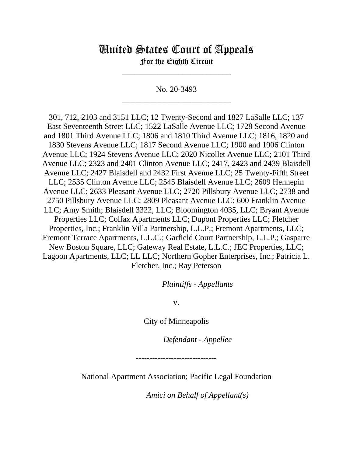## United States Court of Appeals

For the Eighth Circuit \_\_\_\_\_\_\_\_\_\_\_\_\_\_\_\_\_\_\_\_\_\_\_\_\_\_\_

No. 20-3493 \_\_\_\_\_\_\_\_\_\_\_\_\_\_\_\_\_\_\_\_\_\_\_\_\_\_\_

301, 712, 2103 and 3151 LLC; 12 Twenty-Second and 1827 LaSalle LLC; 137 East Seventeenth Street LLC; 1522 LaSalle Avenue LLC; 1728 Second Avenue and 1801 Third Avenue LLC; 1806 and 1810 Third Avenue LLC; 1816, 1820 and 1830 Stevens Avenue LLC; 1817 Second Avenue LLC; 1900 and 1906 Clinton Avenue LLC; 1924 Stevens Avenue LLC; 2020 Nicollet Avenue LLC; 2101 Third Avenue LLC; 2323 and 2401 Clinton Avenue LLC; 2417, 2423 and 2439 Blaisdell Avenue LLC; 2427 Blaisdell and 2432 First Avenue LLC; 25 Twenty-Fifth Street LLC; 2535 Clinton Avenue LLC; 2545 Blaisdell Avenue LLC; 2609 Hennepin Avenue LLC; 2633 Pleasant Avenue LLC; 2720 Pillsbury Avenue LLC; 2738 and 2750 Pillsbury Avenue LLC; 2809 Pleasant Avenue LLC; 600 Franklin Avenue LLC; Amy Smith; Blaisdell 3322, LLC; Bloomington 4035, LLC; Bryant Avenue Properties LLC; Colfax Apartments LLC; Dupont Properties LLC; Fletcher Properties, Inc.; Franklin Villa Partnership, L.L.P.; Fremont Apartments, LLC; Fremont Terrace Apartments, L.L.C.; Garfield Court Partnership, L.L.P.; Gasparre New Boston Square, LLC; Gateway Real Estate, L.L.C.; JEC Properties, LLC; Lagoon Apartments, LLC; LL LLC; Northern Gopher Enterprises, Inc.; Patricia L. Fletcher, Inc.; Ray Peterson

*Plaintiffs - Appellants*

v.

City of Minneapolis

*Defendant - Appellee*

------------------------------

National Apartment Association; Pacific Legal Foundation

*Amici on Behalf of Appellant(s)*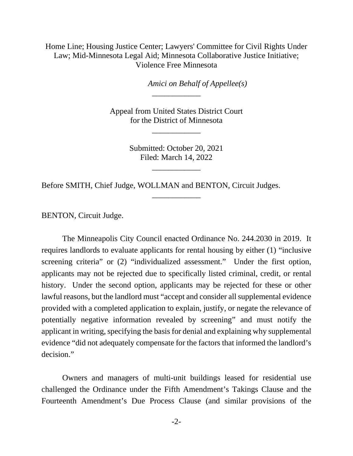Home Line; Housing Justice Center; Lawyers' Committee for Civil Rights Under Law; Mid-Minnesota Legal Aid; Minnesota Collaborative Justice Initiative; Violence Free Minnesota

*Amici on Behalf of Appellee(s)*

Appeal from United States District Court for the District of Minnesota

\_\_\_\_\_\_\_\_\_\_\_\_

\_\_\_\_\_\_\_\_\_\_\_\_

Submitted: October 20, 2021 Filed: March 14, 2022

\_\_\_\_\_\_\_\_\_\_\_\_

\_\_\_\_\_\_\_\_\_\_\_\_

Before SMITH, Chief Judge, WOLLMAN and BENTON, Circuit Judges.

BENTON, Circuit Judge.

The Minneapolis City Council enacted Ordinance No. 244.2030 in 2019. It requires landlords to evaluate applicants for rental housing by either (1) "inclusive screening criteria" or (2) "individualized assessment." Under the first option, applicants may not be rejected due to specifically listed criminal, credit, or rental history. Under the second option, applicants may be rejected for these or other lawful reasons, but the landlord must "accept and consider all supplemental evidence provided with a completed application to explain, justify, or negate the relevance of potentially negative information revealed by screening" and must notify the applicant in writing, specifying the basis for denial and explaining why supplemental evidence "did not adequately compensate for the factors that informed the landlord's decision."

Owners and managers of multi-unit buildings leased for residential use challenged the Ordinance under the Fifth Amendment's Takings Clause and the Fourteenth Amendment's Due Process Clause (and similar provisions of the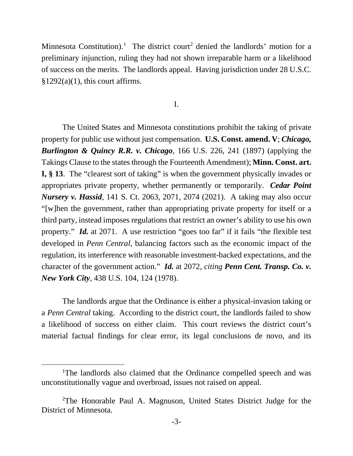Minnesota Constitution).<sup>[1](#page-2-0)</sup> The district court<sup>[2](#page-2-1)</sup> denied the landlords' motion for a preliminary injunction, ruling they had not shown irreparable harm or a likelihood of success on the merits. The landlords appeal. Having jurisdiction under 28 U.S.C.  $§1292(a)(1)$ , this court affirms.

I.

The United States and Minnesota constitutions prohibit the taking of private property for public use without just compensation. **U.S. Const. amend. V**; *Chicago, Burlington & Quincy R.R. v. Chicago*, 166 U.S. 226, 241 (1897) (applying the Takings Clause to the states through the Fourteenth Amendment); **Minn. Const. art. I, § 13**. The "clearest sort of taking" is when the government physically invades or appropriates private property, whether permanently or temporarily. *Cedar Point Nursery v. Hassid*, 141 S. Ct. 2063, 2071, 2074 (2021). A taking may also occur "[w]hen the government, rather than appropriating private property for itself or a third party, instead imposes regulations that restrict an owner's ability to use his own property." *Id.* at 2071. A use restriction "goes too far" if it fails "the flexible test developed in *Penn Central*, balancing factors such as the economic impact of the regulation, its interference with reasonable investment-backed expectations, and the character of the government action." *Id.* at 2072, *citing Penn Cent. Transp. Co. v. New York City*, 438 U.S. 104, 124 (1978).

The landlords argue that the Ordinance is either a physical-invasion taking or a *Penn Central* taking. According to the district court, the landlords failed to show a likelihood of success on either claim. This court reviews the district court's material factual findings for clear error, its legal conclusions de novo, and its

<span id="page-2-0"></span><sup>&</sup>lt;sup>1</sup>The landlords also claimed that the Ordinance compelled speech and was unconstitutionally vague and overbroad, issues not raised on appeal.

<span id="page-2-1"></span><sup>&</sup>lt;sup>2</sup>The Honorable Paul A. Magnuson, United States District Judge for the District of Minnesota.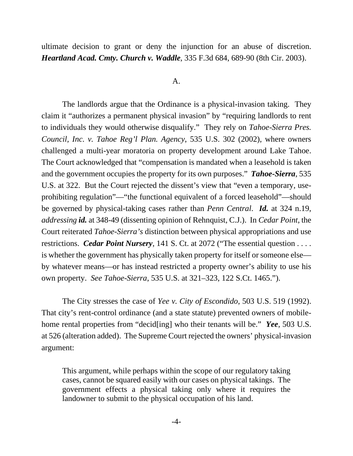ultimate decision to grant or deny the injunction for an abuse of discretion. *Heartland Acad. Cmty. Church v. Waddle*, 335 F.3d 684, 689-90 (8th Cir. 2003).

## A.

 The landlords argue that the Ordinance is a physical-invasion taking. They claim it "authorizes a permanent physical invasion" by "requiring landlords to rent to individuals they would otherwise disqualify." They rely on *Tahoe-Sierra Pres. Council, Inc. v. Tahoe Reg'l Plan. Agency*, 535 U.S. 302 (2002), where owners challenged a multi-year moratoria on property development around Lake Tahoe. The Court acknowledged that "compensation is mandated when a leasehold is taken and the government occupies the property for its own purposes." *Tahoe-Sierra*, 535 U.S. at 322. But the Court rejected the dissent's view that "even a temporary, useprohibiting regulation"—"the functional equivalent of a forced leasehold"—should be governed by physical-taking cases rather than *Penn Central*. *Id.* at 324 n.19, *addressing id.* at 348-49 (dissenting opinion of Rehnquist, C.J.). In *Cedar Point*, the Court reiterated *Tahoe-Sierra's* distinction between physical appropriations and use restrictions. *Cedar Point Nursery*, 141 S. Ct. at 2072 ("The essential question . . . . is whether the government has physically taken property for itself or someone else by whatever means—or has instead restricted a property owner's ability to use his own property. *See Tahoe-Sierra*, 535 U.S. at 321–323, 122 S.Ct. 1465.").

The City stresses the case of *Yee v. City of Escondido*, 503 U.S. 519 (1992). That city's rent-control ordinance (and a state statute) prevented owners of mobilehome rental properties from "decid[ing] who their tenants will be." *Yee*, 503 U.S. at 526 (alteration added). The Supreme Court rejected the owners' physical-invasion argument:

This argument, while perhaps within the scope of our regulatory taking cases, cannot be squared easily with our cases on physical takings. The government effects a physical taking only where it requires the landowner to submit to the physical occupation of his land.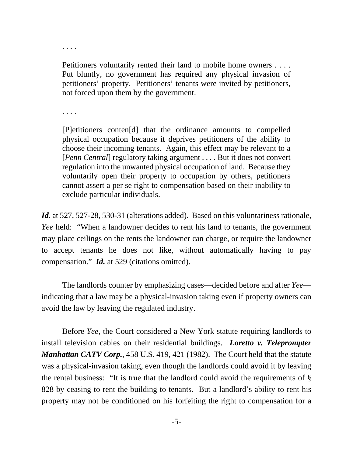. . . .

Petitioners voluntarily rented their land to mobile home owners . . . . Put bluntly, no government has required any physical invasion of petitioners' property. Petitioners' tenants were invited by petitioners, not forced upon them by the government.

. . . .

[P]etitioners conten[d] that the ordinance amounts to compelled physical occupation because it deprives petitioners of the ability to choose their incoming tenants. Again, this effect may be relevant to a [*Penn Central*] regulatory taking argument . . . . But it does not convert regulation into the unwanted physical occupation of land. Because they voluntarily open their property to occupation by others, petitioners cannot assert a per se right to compensation based on their inability to exclude particular individuals.

*Id.* at 527, 527-28, 530-31 (alterations added). Based on this voluntariness rationale, *Yee* held: "When a landowner decides to rent his land to tenants, the government may place ceilings on the rents the landowner can charge, or require the landowner to accept tenants he does not like, without automatically having to pay compensation." *Id.* at 529 (citations omitted).

The landlords counter by emphasizing cases—decided before and after *Yee* indicating that a law may be a physical-invasion taking even if property owners can avoid the law by leaving the regulated industry.

 Before *Yee*, the Court considered a New York statute requiring landlords to install television cables on their residential buildings. *Loretto v. Teleprompter Manhattan CATV Corp.*, 458 U.S. 419, 421 (1982). The Court held that the statute was a physical-invasion taking, even though the landlords could avoid it by leaving the rental business: "It is true that the landlord could avoid the requirements of § 828 by ceasing to rent the building to tenants. But a landlord's ability to rent his property may not be conditioned on his forfeiting the right to compensation for a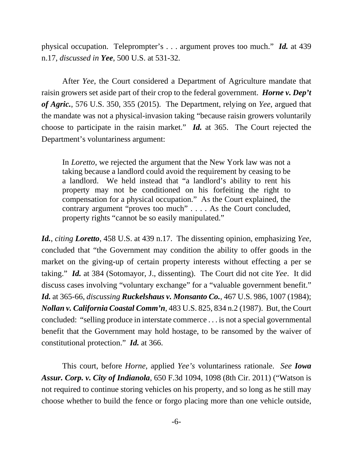physical occupation. Teleprompter's . . . argument proves too much." *Id.* at 439 n.17, *discussed in Yee*, 500 U.S. at 531-32.

After *Yee*, the Court considered a Department of Agriculture mandate that raisin growers set aside part of their crop to the federal government. *Horne v. Dep't of Agric.*, 576 U.S. 350, 355 (2015). The Department, relying on *Yee*, argued that the mandate was not a physical-invasion taking "because raisin growers voluntarily choose to participate in the raisin market." *Id.* at 365. The Court rejected the Department's voluntariness argument:

In *Loretto*, we rejected the argument that the New York law was not a taking because a landlord could avoid the requirement by ceasing to be a landlord. We held instead that "a landlord's ability to rent his property may not be conditioned on his forfeiting the right to compensation for a physical occupation." As the Court explained, the contrary argument "proves too much" . . . . As the Court concluded, property rights "cannot be so easily manipulated."

*Id.*, *citing Loretto*, 458 U.S. at 439 n.17. The dissenting opinion, emphasizing *Yee*, concluded that "the Government may condition the ability to offer goods in the market on the giving-up of certain property interests without effecting a per se taking." *Id.* at 384 (Sotomayor, J., dissenting). The Court did not cite *Yee*. It did discuss cases involving "voluntary exchange" for a "valuable government benefit." *Id.* at 365-66, *discussing Ruckelshaus v. Monsanto Co.*, 467 U.S. 986, 1007 (1984); *Nollan v. California Coastal Comm'n*, 483 U.S. 825, 834 n.2 (1987). But, the Court concluded: "selling produce in interstate commerce . . . is not a special governmental benefit that the Government may hold hostage, to be ransomed by the waiver of constitutional protection." *Id.* at 366.

This court, before *Horne*, applied *Yee's* voluntariness rationale. *See Iowa Assur. Corp. v. City of Indianola*, 650 F.3d 1094, 1098 (8th Cir. 2011) ("Watson is not required to continue storing vehicles on his property, and so long as he still may choose whether to build the fence or forgo placing more than one vehicle outside,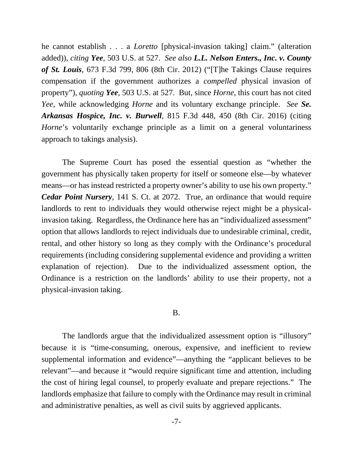he cannot establish . . . a *Loretto* [physical-invasion taking] claim." (alteration added)), *citing Yee*, 503 U.S. at 527. *See also L.L. Nelson Enters., Inc. v. County of St. Louis*, 673 F.3d 799, 806 (8th Cir. 2012) ("[T]he Takings Clause requires compensation if the government authorizes a *compelled* physical invasion of property"), *quoting Yee*, 503 U.S. at 527. But, since *Horne*, this court has not cited *Yee*, while acknowledging *Horne* and its voluntary exchange principle. *See Se. Arkansas Hospice, Inc. v. Burwell*, 815 F.3d 448, 450 (8th Cir. 2016) (citing *Horne*'s voluntarily exchange principle as a limit on a general voluntariness approach to takings analysis).

The Supreme Court has posed the essential question as "whether the government has physically taken property for itself or someone else—by whatever means—or has instead restricted a property owner's ability to use his own property." *Cedar Point Nursery*, 141 S. Ct. at 2072. True, an ordinance that would require landlords to rent to individuals they would otherwise reject might be a physicalinvasion taking. Regardless, the Ordinance here has an "individualized assessment" option that allows landlords to reject individuals due to undesirable criminal, credit, rental, and other history so long as they comply with the Ordinance's procedural requirements (including considering supplemental evidence and providing a written explanation of rejection). Due to the individualized assessment option, the Ordinance is a restriction on the landlords' ability to use their property, not a physical-invasion taking.

## B.

The landlords argue that the individualized assessment option is "illusory" because it is "time-consuming, onerous, expensive, and inefficient to review supplemental information and evidence"—anything the "applicant believes to be relevant"—and because it "would require significant time and attention, including the cost of hiring legal counsel, to properly evaluate and prepare rejections." The landlords emphasize that failure to comply with the Ordinance may result in criminal and administrative penalties, as well as civil suits by aggrieved applicants.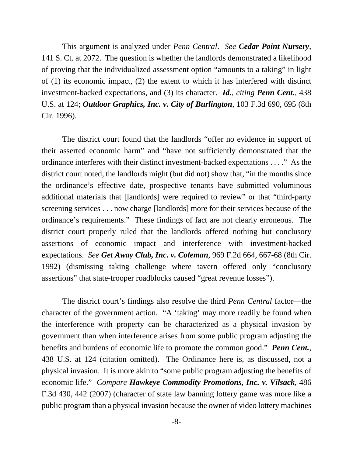This argument is analyzed under *Penn Central*. *See Cedar Point Nursery*, 141 S. Ct. at 2072. The question is whether the landlords demonstrated a likelihood of proving that the individualized assessment option "amounts to a taking" in light of (1) its economic impact, (2) the extent to which it has interfered with distinct investment-backed expectations, and (3) its character. *Id.*, *citing Penn Cent.*, 438 U.S. at 124; *Outdoor Graphics, Inc. v. City of Burlington*, 103 F.3d 690, 695 (8th Cir. 1996).

The district court found that the landlords "offer no evidence in support of their asserted economic harm" and "have not sufficiently demonstrated that the ordinance interferes with their distinct investment-backed expectations . . . ." As the district court noted, the landlords might (but did not) show that, "in the months since the ordinance's effective date, prospective tenants have submitted voluminous additional materials that [landlords] were required to review" or that "third-party screening services . . . now charge [landlords] more for their services because of the ordinance's requirements." These findings of fact are not clearly erroneous. The district court properly ruled that the landlords offered nothing but conclusory assertions of economic impact and interference with investment-backed expectations. *See Get Away Club, Inc. v. Coleman*, 969 F.2d 664, 667-68 (8th Cir. 1992) (dismissing taking challenge where tavern offered only "conclusory assertions" that state-trooper roadblocks caused "great revenue losses").

The district court's findings also resolve the third *Penn Central* factor—the character of the government action. "A 'taking' may more readily be found when the interference with property can be characterized as a physical invasion by government than when interference arises from some public program adjusting the benefits and burdens of economic life to promote the common good." *Penn Cent.*, 438 U.S. at 124 (citation omitted). The Ordinance here is, as discussed, not a physical invasion. It is more akin to "some public program adjusting the benefits of economic life." *Compare Hawkeye Commodity Promotions, Inc. v. Vilsack*, 486 F.3d 430, 442 (2007) (character of state law banning lottery game was more like a public program than a physical invasion because the owner of video lottery machines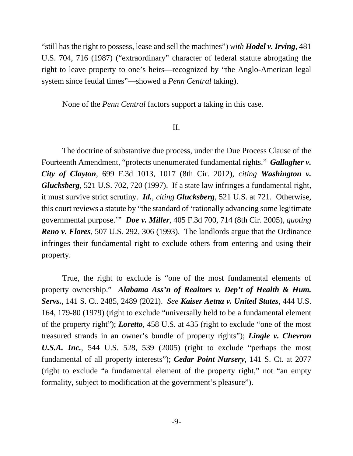"still has the right to possess, lease and sell the machines") *with Hodel v. Irving*, 481 U.S. 704, 716 (1987) ("extraordinary" character of federal statute abrogating the right to leave property to one's heirs—recognized by "the Anglo-American legal system since feudal times"—showed a *Penn Central* taking).

None of the *Penn Central* factors support a taking in this case.

## II.

The doctrine of substantive due process, under the Due Process Clause of the Fourteenth Amendment, "protects unenumerated fundamental rights." *Gallagher v. City of Clayton*, 699 F.3d 1013, 1017 (8th Cir. 2012), *citing Washington v. Glucksberg*, 521 U.S. 702, 720 (1997). If a state law infringes a fundamental right, it must survive strict scrutiny. *Id., citing Glucksberg,* 521 U.S. at 721. Otherwise, this court reviews a statute by "the standard of 'rationally advancing some legitimate governmental purpose.'" *Doe v. Miller*, 405 F.3d 700, 714 (8th Cir. 2005), *quoting Reno v. Flores*, 507 U.S. 292, 306 (1993). The landlords argue that the Ordinance infringes their fundamental right to exclude others from entering and using their property.

True, the right to exclude is "one of the most fundamental elements of property ownership." *Alabama Ass'n of Realtors v. Dep't of Health & Hum. Servs.*, 141 S. Ct. 2485, 2489 (2021). *See Kaiser Aetna v. United States*, 444 U.S. 164, 179-80 (1979) (right to exclude "universally held to be a fundamental element of the property right"); *Loretto*, 458 U.S. at 435 (right to exclude "one of the most treasured strands in an owner's bundle of property rights"); *Lingle v. Chevron U.S.A. Inc.*, 544 U.S. 528, 539 (2005) (right to exclude "perhaps the most fundamental of all property interests"); *Cedar Point Nursery*, 141 S. Ct. at 2077 (right to exclude "a fundamental element of the property right," not "an empty formality, subject to modification at the government's pleasure").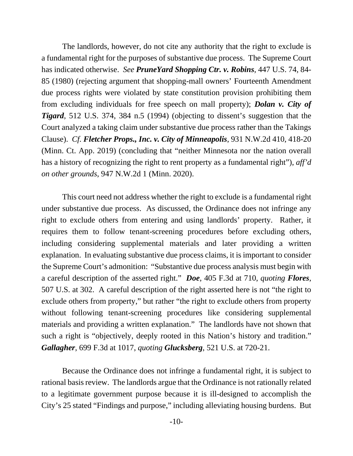The landlords, however, do not cite any authority that the right to exclude is a fundamental right for the purposes of substantive due process. The Supreme Court has indicated otherwise. *See PruneYard Shopping Ctr. v. Robins*, 447 U.S. 74, 84- 85 (1980) (rejecting argument that shopping-mall owners' Fourteenth Amendment due process rights were violated by state constitution provision prohibiting them from excluding individuals for free speech on mall property); *Dolan v. City of Tigard*, 512 U.S. 374, 384 n.5 (1994) (objecting to dissent's suggestion that the Court analyzed a taking claim under substantive due process rather than the Takings Clause). *Cf. Fletcher Props., Inc. v. City of Minneapolis*, 931 N.W.2d 410, 418-20 (Minn. Ct. App. 2019) (concluding that "neither Minnesota nor the nation overall has a history of recognizing the right to rent property as a fundamental right"), *aff'd on other grounds*, 947 N.W.2d 1 (Minn. 2020).

This court need not address whether the right to exclude is a fundamental right under substantive due process. As discussed, the Ordinance does not infringe any right to exclude others from entering and using landlords' property. Rather, it requires them to follow tenant-screening procedures before excluding others, including considering supplemental materials and later providing a written explanation. In evaluating substantive due process claims, it is important to consider the Supreme Court's admonition: "Substantive due process analysis must begin with a careful description of the asserted right." *Doe*, 405 F.3d at 710, *quoting Flores*, 507 U.S. at 302. A careful description of the right asserted here is not "the right to exclude others from property," but rather "the right to exclude others from property without following tenant-screening procedures like considering supplemental materials and providing a written explanation." The landlords have not shown that such a right is "objectively, deeply rooted in this Nation's history and tradition." *Gallagher*, 699 F.3d at 1017, *quoting Glucksberg*, 521 U.S. at 720-21.

Because the Ordinance does not infringe a fundamental right, it is subject to rational basis review. The landlords argue that the Ordinance is not rationally related to a legitimate government purpose because it is ill-designed to accomplish the City's 25 stated "Findings and purpose," including alleviating housing burdens. But